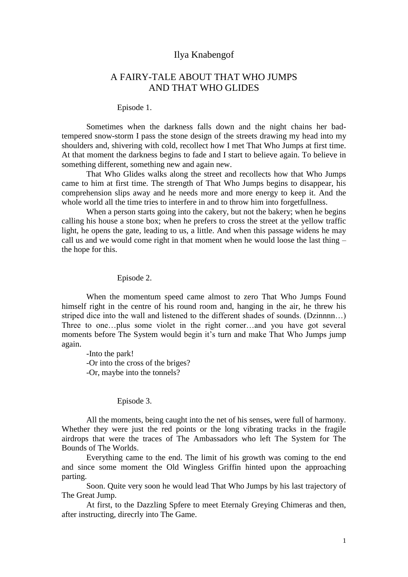# Ilya Knabengof

# A FAIRY-TALE ABOUT THAT WHO JUMPS AND THAT WHO GLIDES

#### Episode 1.

Sometimes when the darkness falls down and the night chains her badtempered snow-storm I pass the stone design of the streets drawing my head into my shoulders and, shivering with cold, recollect how I met That Who Jumps at first time. At that moment the darkness begins to fade and I start to believe again. To believe in something different, something new and again new.

That Who Glides walks along the street and recollects how that Who Jumps came to him at first time. The strength of That Who Jumps begins to disappear, his comprehension slips away and he needs more and more energy to keep it. And the whole world all the time tries to interfere in and to throw him into forgetfullness.

When a person starts going into the cakery, but not the bakery; when he begins calling his house a stone box; when he prefers to cross the street at the yellow traffic light, he opens the gate, leading to us, a little. And when this passage widens he may call us and we would come right in that moment when he would loose the last thing – the hope for this.

#### Episode 2.

When the momentum speed came almost to zero That Who Jumps Found himself right in the centre of his round room and, hanging in the air, he threw his striped dice into the wall and listened to the different shades of sounds. (Dzinnnn…) Three to one…plus some violet in the right corner…and you have got several moments before The System would begin it's turn and make That Who Jumps jump again.

-Into the park! -Or into the cross of the briges? -Or, maybe into the tonnels?

## Episode 3.

All the moments, being caught into the net of his senses, were full of harmony. Whether they were just the red points or the long vibrating tracks in the fragile airdrops that were the traces of The Ambassadors who left The System for The Bounds of The Worlds.

Everything came to the end. The limit of his growth was coming to the end and since some moment the Old Wingless Griffin hinted upon the approaching parting.

Soon. Quite very soon he would lead That Who Jumps by his last trajectory of The Great Jump.

At first, to the Dazzling Spfere to meet Eternaly Greying Chimeras and then, after instructing, direcrly into The Game.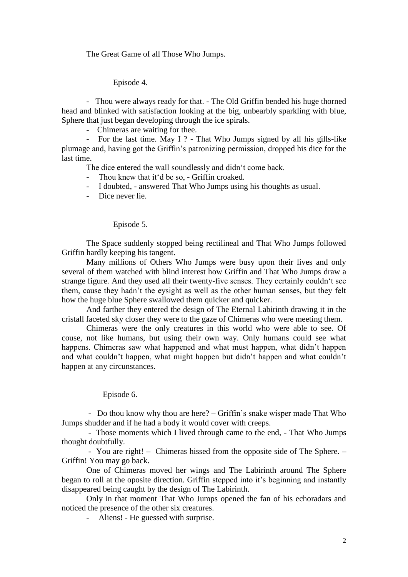The Great Game of all Those Who Jumps.

Episode 4.

- Thou were always ready for that. - The Old Griffin bended his huge thorned head and blinked with satisfaction looking at the big, unbearbly sparkling with blue, Sphere that just began developing through the ice spirals.

- Chimeras are waiting for thee.

 - For the last time. May I ? - That Who Jumps signed by all his gills-like plumage and, having got the Griffin"s patronizing permission, dropped his dice for the last time.

The dice entered the wall soundlessly and didn"t come back.

- Thou knew that it'd be so, Griffin croaked.
- I doubted, answered That Who Jumps using his thoughts as usual.
- Dice never lie.

#### Episode 5.

The Space suddenly stopped being rectilineal and That Who Jumps followed Griffin hardly keeping his tangent.

Many millions of Others Who Jumps were busy upon their lives and only several of them watched with blind interest how Griffin and That Who Jumps draw a strange figure. And they used all their twenty-five senses. They certainly couldn"t see them, cause they hadn"t the eysight as well as the other human senses, but they felt how the huge blue Sphere swallowed them quicker and quicker.

And farther they entered the design of The Eternal Labirinth drawing it in the cristall faceted sky closer they were to the gaze of Chimeras who were meeting them.

Chimeras were the only creatures in this world who were able to see. Of couse, not like humans, but using their own way. Only humans could see what happens. Chimeras saw what happened and what must happen, what didn't happen and what couldn"t happen, what might happen but didn"t happen and what couldn"t happen at any circunstances.

### Episode 6.

- Do thou know why thou are here? – Griffin's snake wisper made That Who Jumps shudder and if he had a body it would cover with creeps.

 - Those moments which I lived through came to the end, - That Who Jumps thought doubtfully.

 - You are right! – Chimeras hissed from the opposite side of The Sphere. – Griffin! You may go back.

One of Chimeras moved her wings and The Labirinth around The Sphere began to roll at the oposite direction. Griffin stepped into it's beginning and instantly disappeared being caught by the design of The Labirinth.

Only in that moment That Who Jumps opened the fan of his echoradars and noticed the presence of the other six creatures.

Aliens! - He guessed with surprise.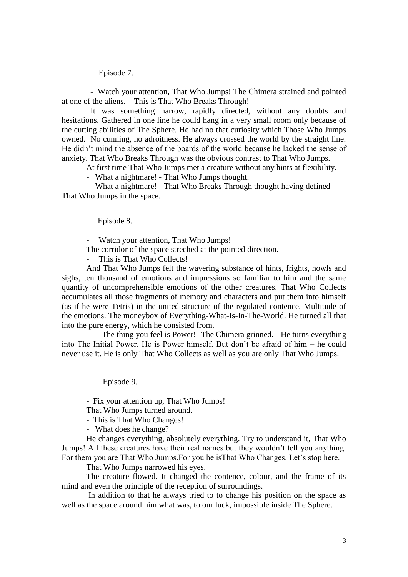Episode 7.

 - Watch your attention, That Who Jumps! The Chimera strained and pointed at one of the aliens. – This is That Who Breaks Through!

 It was something narrow, rapidly directed, without any doubts and hesitations. Gathered in one line he could hang in a very small room only because of the cutting abilities of The Sphere. He had no that curiosity which Those Who Jumps owned. No cunning, no adroitness. He always crossed the world by the straight line. He didn"t mind the absence of the boards of the world because he lacked the sense of anxiety. That Who Breaks Through was the obvious contrast to That Who Jumps.

At first time That Who Jumps met a creature without any hints at flexibility.

- What a nightmare! - That Who Jumps thought.

 - What a nightmare! - That Who Breaks Through thought having defined That Who Jumps in the space.

Episode 8.

Watch your attention, That Who Jumps!

The corridor of the space streched at the pointed direction.

This is That Who Collects!

And That Who Jumps felt the wavering substance of hints, frights, howls and sighs, ten thousand of emotions and impressions so familiar to him and the same quantity of uncomprehensible emotions of the other creatures. That Who Collects accumulates all those fragments of memory and characters and put them into himself (as if he were Tetris) in the united structure of the regulated contence. Multitude of the emotions. The moneybox of Everything-What-Is-In-The-World. He turned all that into the pure energy, which he consisted from.

The thing you feel is Power! -The Chimera grinned. - He turns everything into The Initial Power. He is Power himself. But don"t be afraid of him – he could never use it. He is only That Who Collects as well as you are only That Who Jumps.

Episode 9.

- Fix your attention up, That Who Jumps!

That Who Jumps turned around.

- This is That Who Changes!
- What does he change?

 He changes everything, absolutely everything. Try to understand it, That Who Jumps! All these creatures have their real names but they wouldn"t tell you anything. For them you are That Who Jumps. For you he is That Who Changes. Let's stop here.

That Who Jumps narrowed his eyes.

 The creature flowed. It changed the contence, colour, and the frame of its mind and even the principle of the reception of surroundings.

 In addition to that he always tried to to change his position on the space as well as the space around him what was, to our luck, impossible inside The Sphere.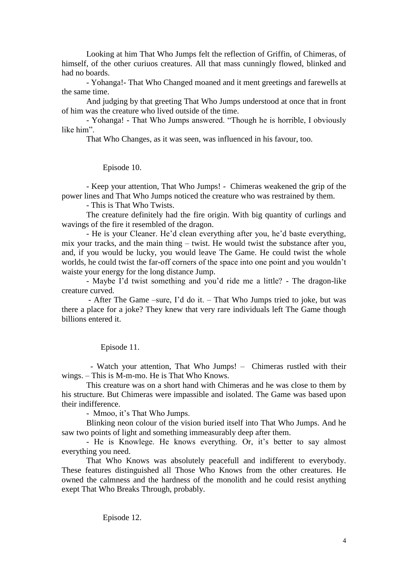Looking at him That Who Jumps felt the reflection of Griffin, of Chimeras, of himself, of the other curiuos creatures. All that mass cunningly flowed, blinked and had no boards.

- Yohanga!- That Who Changed moaned and it ment greetings and farewells at the same time.

And judging by that greeting That Who Jumps understood at once that in front of him was the creature who lived outside of the time.

- Yohanga! - That Who Jumps answered. "Though he is horrible, I obviously like him".

That Who Changes, as it was seen, was influenced in his favour, too.

Episode 10.

- Keep your attention, That Who Jumps! - Chimeras weakened the grip of the power lines and That Who Jumps noticed the creature who was restrained by them.

- This is That Who Twists.

The creature definitely had the fire origin. With big quantity of curlings and wavings of the fire it resembled of the dragon.

- He is your Cleaner. He'd clean everything after you, he'd baste everything, mix your tracks, and the main thing – twist. He would twist the substance after you, and, if you would be lucky, you would leave The Game. He could twist the whole worlds, he could twist the far-off corners of the space into one point and you wouldn"t waiste your energy for the long distance Jump.

- Maybe I"d twist something and you"d ride me a little? - The dragon-like creature curved.

- After The Game –sure, I'd do it. – That Who Jumps tried to joke, but was there a place for a joke? They knew that very rare individuals left The Game though billions entered it.

Episode 11.

 - Watch your attention, That Who Jumps! – Chimeras rustled with their wings. – This is M-m-mo. He is That Who Knows.

This creature was on a short hand with Chimeras and he was close to them by his structure. But Chimeras were impassible and isolated. The Game was based upon their indifference.

- Mmoo, it's That Who Jumps.

Blinking neon colour of the vision buried itself into That Who Jumps. And he saw two points of light and something immeasurably deep after them.

- He is Knowlege. He knows everything. Or, it's better to say almost everything you need.

That Who Knows was absolutely peacefull and indifferent to everybody. These features distinguished all Those Who Knows from the other creatures. He owned the calmness and the hardness of the monolith and he could resist anything exept That Who Breaks Through, probably.

Episode 12.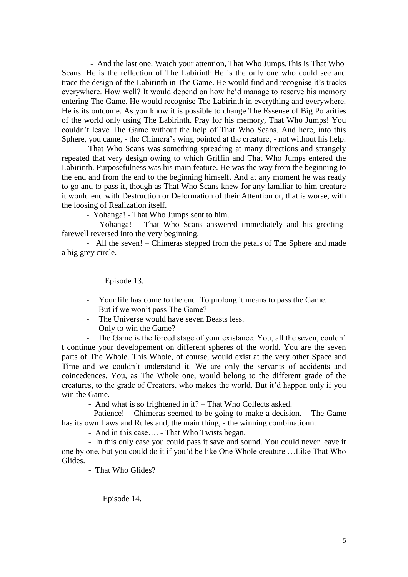- And the last one. Watch your attention, That Who Jumps.This is That Who Scans. He is the reflection of The Labirinth.He is the only one who could see and trace the design of the Labirinth in The Game. He would find and recognise it"s tracks everywhere. How well? It would depend on how he'd manage to reserve his memory entering The Game. He would recognise The Labirinth in everything and everywhere. He is its outcome. As you know it is possible to change The Essense of Big Polarities of the world only using The Labirinth. Pray for his memory, That Who Jumps! You couldn"t leave The Game without the help of That Who Scans. And here, into this Sphere, you came, - the Chimera"s wing pointed at the creature, - not without his help.

 That Who Scans was something spreading at many directions and strangely repeated that very design owing to which Griffin and That Who Jumps entered the Labirinth. Purposefulness was his main feature. He was the way from the beginning to the end and from the end to the beginning himself. And at any moment he was ready to go and to pass it, though as That Who Scans knew for any familiar to him creature it would end with Destruction or Deformation of their Attention or, that is worse, with the loosing of Realization itself.

- Yohanga! - That Who Jumps sent to him.

Yohanga! – That Who Scans answered immediately and his greetingfarewell reversed into the very beginning.

 - All the seven! – Chimeras stepped from the petals of The Sphere and made a big grey circle.

Episode 13.

- Your life has come to the end. To prolong it means to pass the Game.
- But if we won"t pass The Game?
- The Universe would have seven Beasts less.
- Only to win the Game?

The Game is the forced stage of your existance. You, all the seven, couldn' t continue your developement on different spheres of the world. You are the seven parts of The Whole. This Whole, of course, would exist at the very other Space and Time and we couldn"t understand it. We are only the servants of accidents and coincedences. You, as The Whole one, would belong to the different grade of the creatures, to the grade of Creators, who makes the world. But it"d happen only if you win the Game.

- And what is so frightened in it? – That Who Collects asked.

 - Patience! – Chimeras seemed to be going to make a decision. – The Game has its own Laws and Rules and, the main thing, - the winning combinationn.

- And in this case…. - That Who Twists began.

 - In this only case you could pass it save and sound. You could never leave it one by one, but you could do it if you"d be like One Whole creature …Like That Who Glides.

- That Who Glides?

Episode 14.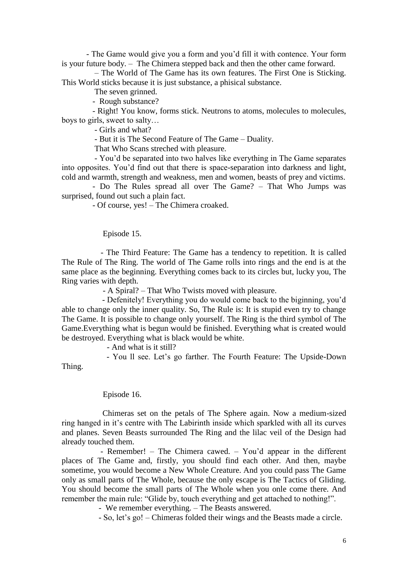- The Game would give you a form and you"d fill it with contence. Your form is your future body. – The Chimera stepped back and then the other came forward.

 – The World of The Game has its own features. The First One is Sticking. This World sticks because it is just substance, a phisical substance.

The seven grinned.

- Rough substance?

 - Right! You know, forms stick. Neutrons to atoms, molecules to molecules, boys to girls, sweet to salty…

- Girls and what?

- But it is The Second Feature of The Game – Duality.

That Who Scans streched with pleasure.

 - You"d be separated into two halves like everything in The Game separates into opposites. You"d find out that there is space-separation into darkness and light, cold and warmth, strength and weakness, men and women, beasts of prey and victims.

 - Do The Rules spread all over The Game? – That Who Jumps was surprised, found out such a plain fact.

- Of course, yes! – The Chimera croaked.

Episode 15.

 - The Third Feature: The Game has a tendency to repetition. It is called The Rule of The Ring. The world of The Game rolls into rings and the end is at the same place as the beginning. Everything comes back to its circles but, lucky you, The Ring varies with depth.

- A Spiral? – That Who Twists moved with pleasure.

 - Defenitely! Everything you do would come back to the biginning, you"d able to change only the inner quality. So, The Rule is: It is stupid even try to change The Game. It is possible to change only yourself. The Ring is the third symbol of The Game.Everything what is begun would be finished. Everything what is created would be destroyed. Everything what is black would be white.

- And what is it still?

- You Il see. Let's go farther. The Fourth Feature: The Upside-Down Thing.

Episode 16.

Chimeras set on the petals of The Sphere again. Now a medium-sized ring hanged in it"s centre with The Labirinth inside which sparkled with all its curves and planes. Seven Beasts surrounded The Ring and the lilac veil of the Design had already touched them.

- Remember! – The Chimera cawed. – You"d appear in the different places of The Game and, firstly, you should find each other. And then, maybe sometime, you would become a New Whole Creature. And you could pass The Game only as small parts of The Whole, because the only escape is The Tactics of Gliding. You should become the small parts of The Whole when you onle come there. And remember the main rule: "Glide by, touch everything and get attached to nothing!".

- We remember everything. – The Beasts answered.

- So, let"s go! – Chimeras folded their wings and the Beasts made a circle.